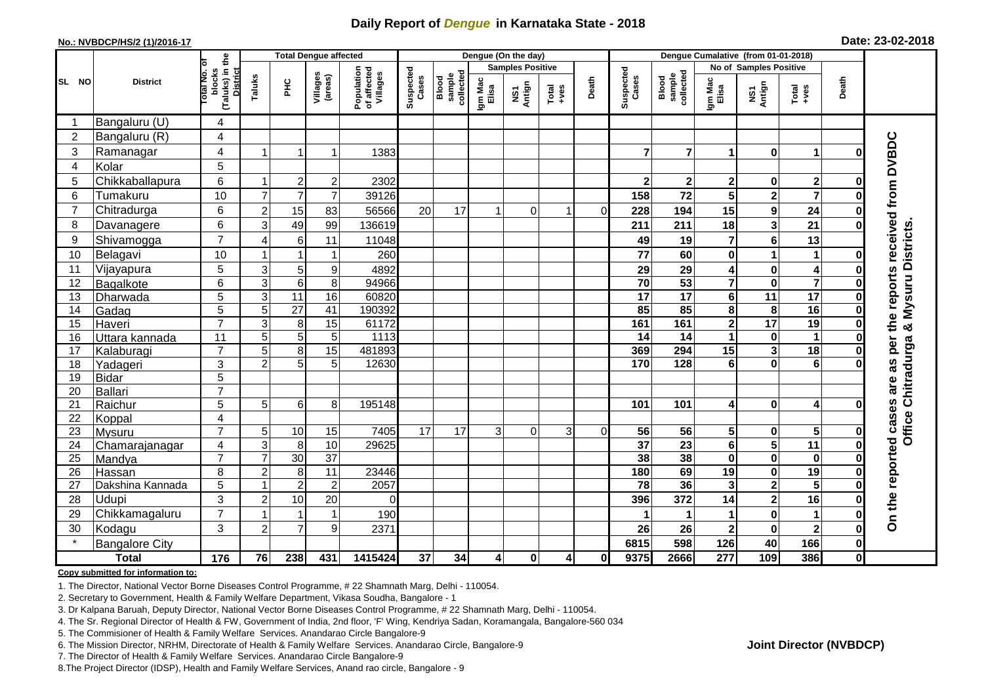## **Daily Report of** *Dengue* **in Karnataka State - 2018**

#### **No.: NVBDCP/HS/2 (1)/2016-17**

|  |  | Date: 23-02-2018 |
|--|--|------------------|
|--|--|------------------|

|                |                       |                                                             |                |                | <b>Total Dengue affected</b> |                                       |                    |                              | Dengue (On the day)     |                         |                         |          |                    |                              |                         |                               |                         |              |                                 |
|----------------|-----------------------|-------------------------------------------------------------|----------------|----------------|------------------------------|---------------------------------------|--------------------|------------------------------|-------------------------|-------------------------|-------------------------|----------|--------------------|------------------------------|-------------------------|-------------------------------|-------------------------|--------------|---------------------------------|
|                |                       |                                                             |                |                |                              |                                       |                    |                              |                         | <b>Samples Positive</b> |                         |          |                    |                              |                         | <b>No of Samples Positive</b> |                         |              |                                 |
| SL NO          | <b>District</b>       | (Taluks) in the<br>otal No. of<br>blocks<br><b>District</b> | Taluks         | ΞÉ             | Villages<br>(areas)          | Population<br>of affected<br>Villages | Suspected<br>Cases | sample<br>collected<br>Blood | Igm Mac<br>Elisa        | NS1<br>Antign           | Total<br>+ves           | Death    | Suspected<br>Cases | Blood<br>sample<br>collected | Igm Mac<br>Elisa        | NS1<br>Antign                 | $Tota$<br>$+ves$        | Death        |                                 |
|                | Bangaluru (U)         | 4                                                           |                |                |                              |                                       |                    |                              |                         |                         |                         |          |                    |                              |                         |                               |                         |              |                                 |
| $\overline{2}$ | Bangaluru (R)         | 4                                                           |                |                |                              |                                       |                    |                              |                         |                         |                         |          |                    |                              |                         |                               |                         |              |                                 |
| 3              | Ramanagar             | 4                                                           |                |                | 1                            | 1383                                  |                    |                              |                         |                         |                         |          |                    | $\overline{7}$               | 1                       | $\bf{0}$                      | $\mathbf 1$             | ŋ            | the reports received from DVBDC |
| $\overline{4}$ | Kolar                 | 5                                                           |                |                |                              |                                       |                    |                              |                         |                         |                         |          |                    |                              |                         |                               |                         |              |                                 |
| 5              | Chikkaballapura       | $\,6$                                                       |                | $\overline{c}$ | $\boldsymbol{2}$             | 2302                                  |                    |                              |                         |                         |                         |          |                    | $\boldsymbol{2}$             | 2                       | 0                             | $\mathbf{2}$            | 0            |                                 |
| 6              | Tumakuru              | 10                                                          | $\overline{7}$ | $\overline{7}$ | $\overline{7}$               | 39126                                 |                    |                              |                         |                         |                         |          | 158                | 72                           | 5                       | $\overline{\mathbf{2}}$       | $\overline{7}$          | $\bf{0}$     |                                 |
| $\overline{7}$ | Chitradurga           | 6                                                           | $\overline{c}$ | 15             | 83                           | 56566                                 | 20                 | 17                           | $\mathbf 1$             | $\overline{0}$          | -1                      | $\Omega$ | 228                | 194                          | 15                      | $\boldsymbol{9}$              | 24                      | 0            |                                 |
| 8              | Davanagere            | 6                                                           | 3              | 49             | 99                           | 136619                                |                    |                              |                         |                         |                         |          | 211                | 211                          | 18                      | $\mathbf{3}$                  | 21                      | 0            |                                 |
| 9              | Shivamogga            | $\overline{7}$                                              | 4              | 6              | 11                           | 11048                                 |                    |                              |                         |                         |                         |          | 49                 | 19                           | 7                       | 6                             | 13                      |              |                                 |
| 10             | Belagavi              | 10                                                          |                |                |                              | 260                                   |                    |                              |                         |                         |                         |          | 77                 | 60                           | 0                       | $\overline{1}$                | $\mathbf{1}$            | 0            | & Mysuru Districts              |
| 11             | Vijayapura            | 5                                                           | 3              | 5              | 9                            | 4892                                  |                    |                              |                         |                         |                         |          | 29                 | 29                           | 4                       | $\pmb{0}$                     | $\overline{4}$          | $\bf{0}$     |                                 |
| 12             | Bagalkote             | 6                                                           | $\overline{3}$ | 6              | 8                            | 94966                                 |                    |                              |                         |                         |                         |          | 70                 | $\overline{53}$              | $\overline{\mathbf{7}}$ | $\mathbf 0$                   | $\overline{7}$          | $\bf{0}$     |                                 |
| 13             | Dharwada              | $\overline{5}$                                              | $\overline{3}$ | 11             | 16                           | 60820                                 |                    |                              |                         |                         |                         |          | $\overline{17}$    | $\overline{17}$              | 6                       | 11                            | $\overline{17}$         | $\bf{0}$     |                                 |
| 14             | Gadag                 | $\overline{5}$                                              | 5              | 27             | $\overline{41}$              | 190392                                |                    |                              |                         |                         |                         |          | 85                 | 85                           | 8                       | 8                             | 16                      | 0            |                                 |
| 15             | Haveri                | $\overline{7}$                                              | $\mathbf{3}$   | 8              | 15                           | 61172                                 |                    |                              |                         |                         |                         |          | 161                | 161                          | $\overline{\mathbf{2}}$ | $\overline{17}$               | 19                      | 0            |                                 |
| 16             | Uttara kannada        | $\overline{11}$                                             | $\overline{5}$ | $\overline{5}$ | 5                            | 1113                                  |                    |                              |                         |                         |                         |          | $\overline{14}$    | 14                           | 1                       | $\mathbf 0$                   | $\blacktriangleleft$    |              |                                 |
| 17             | Kalaburagi            | $\overline{7}$                                              | $\overline{5}$ | 8              | 15                           | 481893                                |                    |                              |                         |                         |                         |          | 369                | 294                          | 15                      | $\overline{\mathbf{3}}$       | $\overline{18}$         | O            |                                 |
| 18             | Yadageri              | 3                                                           | $\overline{2}$ | 5              | 5                            | 12630                                 |                    |                              |                         |                         |                         |          | 170                | 128                          | 6                       | $\mathbf 0$                   | $6\phantom{1}6$         |              | as per                          |
| 19             | Bidar                 | 5                                                           |                |                |                              |                                       |                    |                              |                         |                         |                         |          |                    |                              |                         |                               |                         |              | are                             |
| 20             | Ballari               | $\overline{7}$                                              |                |                |                              |                                       |                    |                              |                         |                         |                         |          |                    |                              |                         |                               |                         |              |                                 |
| 21             | Raichur               | $\overline{5}$                                              | 5              | 6              | 8                            | 195148                                |                    |                              |                         |                         |                         |          | 101                | 101                          | 4                       | $\mathbf 0$                   | $\overline{\mathbf{4}}$ |              | <b>Office Chitradurga</b>       |
| 22             | Koppal                | 4                                                           |                |                |                              |                                       |                    |                              |                         |                         |                         |          |                    |                              |                         |                               |                         |              |                                 |
| 23             | <b>Mysuru</b>         | $\overline{7}$                                              | 5              | 10             | 15                           | 7405                                  | 17                 | 17                           | 3                       | $\Omega$                | 3                       | $\Omega$ | 56                 | 56                           | 5                       | $\mathbf 0$                   | 5                       | O            |                                 |
| 24             | Chamarajanagar        | 4                                                           | 3              | 8              | 10                           | 29625                                 |                    |                              |                         |                         |                         |          | $\overline{37}$    | $\overline{23}$              | 6                       | $\overline{\mathbf{5}}$       | 11                      | $\bf{0}$     |                                 |
| 25             | Mandya                | $\overline{7}$                                              | $\overline{7}$ | 30             | $\overline{37}$              |                                       |                    |                              |                         |                         |                         |          | 38                 | 38                           | $\mathbf 0$             | $\overline{\mathbf{0}}$       | $\mathbf 0$             | $\bf{0}$     |                                 |
| 26             | Hassan                | 8                                                           | $\overline{2}$ | 8              | 11                           | 23446                                 |                    |                              |                         |                         |                         |          | 180<br>78          | 69<br>36                     | 19                      | $\mathbf 0$                   | 19                      | $\bf{0}$     |                                 |
| 27             | Dakshina Kannada      | 5                                                           |                | $\overline{2}$ | $\overline{2}$               | 2057                                  |                    |                              |                         |                         |                         |          |                    |                              | 3                       | $\overline{2}$                | $\overline{5}$          | $\bf{0}$     |                                 |
| 28             | <b>Udupi</b>          | 3                                                           | $\overline{2}$ | 10             | 20                           | 0                                     |                    |                              |                         |                         |                         |          | 396                | 372                          | 14                      | $\overline{\mathbf{2}}$       | 16                      | ŋ            | On the reported cases           |
| 29             | Chikkamagaluru        | $\overline{7}$                                              |                |                | 1                            | 190                                   |                    |                              |                         |                         |                         |          |                    |                              | 1                       | $\pmb{0}$                     | 1                       | 0            |                                 |
| 30             | Kodagu                | 3                                                           | $\overline{2}$ | $\overline{7}$ | 9                            | 2371                                  |                    |                              |                         |                         |                         |          | 26                 | 26                           | $\overline{\mathbf{2}}$ | $\pmb{0}$                     | $\mathbf{2}$            | $\bf{0}$     |                                 |
| $\star$        | <b>Bangalore City</b> |                                                             |                |                |                              |                                       |                    |                              |                         |                         |                         |          | 6815               | 598                          | 126                     | 40                            | 166                     | $\mathbf 0$  |                                 |
|                | <b>Total</b>          | $\frac{1}{176}$                                             | 76             | 238            | 431                          | 1415424                               | 37                 | 34                           | $\overline{\mathbf{4}}$ | $\mathbf{0}$            | $\overline{\mathbf{4}}$ | 0        | 9375               | 2666                         | 277                     | 109                           | 386                     | $\mathbf{0}$ |                                 |

#### **Copy submitted for information to:**

1. The Director, National Vector Borne Diseases Control Programme, # 22 Shamnath Marg, Delhi - 110054.

2. Secretary to Government, Health & Family Welfare Department, Vikasa Soudha, Bangalore - 1

3. Dr Kalpana Baruah, Deputy Director, National Vector Borne Diseases Control Programme, # 22 Shamnath Marg, Delhi - 110054.

4. The Sr. Regional Director of Health & FW, Government of India, 2nd floor, 'F' Wing, Kendriya Sadan, Koramangala, Bangalore-560 034

5. The Commisioner of Health & Family Welfare Services. Anandarao Circle Bangalore-9

6. The Mission Director, NRHM, Directorate of Health & Family Welfare Services. Anandarao Circle, Bangalore-9

7. The Director of Health & Family Welfare Services. Anandarao Circle Bangalore-9

8.The Project Director (IDSP), Health and Family Welfare Services, Anand rao circle, Bangalore - 9